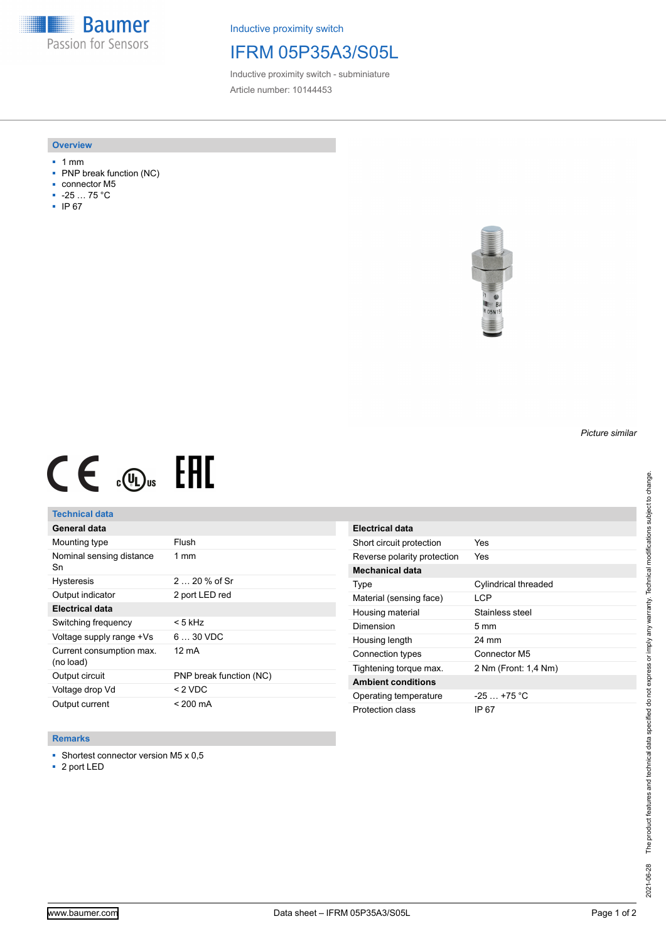**Baumer** Passion for Sensors

Inductive proximity switch

## IFRM 05P35A3/S05L

Inductive proximity switch - subminiature Article number: 10144453

#### **Overview**

- 1 mm
- PNP break function (NC)
- connector M5
- -25 … 75 °C
- IP 67



# $CE \mathcal{L}$  (Dus FRE

### **Technical data**

| General data                          |                         |
|---------------------------------------|-------------------------|
| Mounting type                         | Flush                   |
| Nominal sensing distance<br>Sn        | $1 \text{ mm}$          |
| <b>Hysteresis</b>                     | $220%$ of Sr            |
| Output indicator                      | 2 port LED red          |
| <b>Electrical data</b>                |                         |
| Switching frequency                   | < 5 kHz                 |
| Voltage supply range +Vs              | $630$ VDC               |
| Current consumption max.<br>(no load) | 12 mA                   |
| Output circuit                        | PNP break function (NC) |
| Voltage drop Vd                       | $< 2$ VDC               |
| Output current                        | < 200 mA                |

#### **Remarks**

- Shortest connector version M5 x 0,5
- 2 port LED

| Electrical data             |                      |
|-----------------------------|----------------------|
| Short circuit protection    | Yes                  |
| Reverse polarity protection | Yes                  |
| <b>Mechanical data</b>      |                      |
| Type                        | Cylindrical threaded |
| Material (sensing face)     | <b>LCP</b>           |
| Housing material            | Stainless steel      |
| Dimension                   | $5 \text{ mm}$       |
| Housing length              | 24 mm                |
| Connection types            | Connector M5         |
| Tightening torque max.      | 2 Nm (Front: 1,4 Nm) |
| <b>Ambient conditions</b>   |                      |
| Operating temperature       | $-25+75 °C$          |
| Protection class            | IP 67                |

*Picture similar*